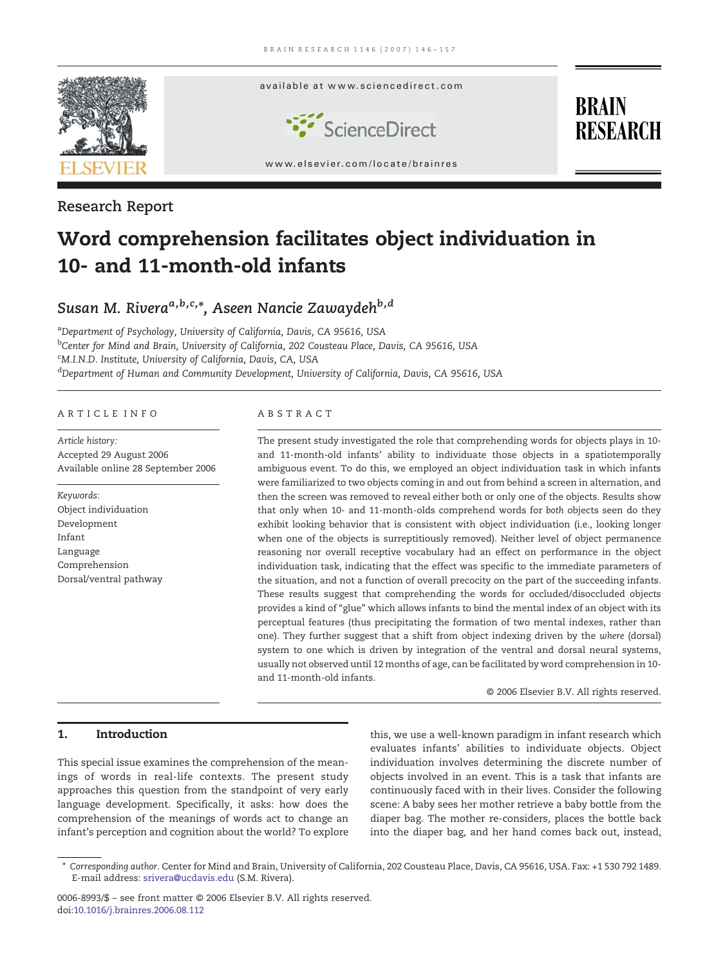

Research Report

# Word comprehension facilitates object individuation in 10- and 11-month-old infants

Susan M. Rivera<sup>a,b,c,\*</sup>, Aseen Nancie Zawaydeh<sup>b,d</sup>

<sup>a</sup>Department of Psychology, University of California, Davis, CA 95616, USA <sup>b</sup>Center for Mind and Brain, University of California, 202 Cousteau Place, Davis, CA 95616, USA <sup>c</sup>M.I.N.D. Institute, University of California, Davis, CA, USA d Department of Human and Community Development, University of California, Davis, CA 95616, USA

# ARTICLE INFO ABSTRACT

Article history: Accepted 29 August 2006 Available online 28 September 2006

Keywords: Object individuation Development Infant Language Comprehension Dorsal/ventral pathway

The present study investigated the role that comprehending words for objects plays in 10 and 11-month-old infants' ability to individuate those objects in a spatiotemporally ambiguous event. To do this, we employed an object individuation task in which infants were familiarized to two objects coming in and out from behind a screen in alternation, and then the screen was removed to reveal either both or only one of the objects. Results show that only when 10- and 11-month-olds comprehend words for both objects seen do they exhibit looking behavior that is consistent with object individuation (i.e., looking longer when one of the objects is surreptitiously removed). Neither level of object permanence reasoning nor overall receptive vocabulary had an effect on performance in the object individuation task, indicating that the effect was specific to the immediate parameters of the situation, and not a function of overall precocity on the part of the succeeding infants. These results suggest that comprehending the words for occluded/disoccluded objects provides a kind of "glue" which allows infants to bind the mental index of an object with its perceptual features (thus precipitating the formation of two mental indexes, rather than one). They further suggest that a shift from object indexing driven by the where (dorsal) system to one which is driven by integration of the ventral and dorsal neural systems, usually not observed until 12 months of age, can be facilitated by word comprehension in 10 and 11-month-old infants.

© 2006 Elsevier B.V. All rights reserved.

# 1. Introduction

This special issue examines the comprehension of the meanings of words in real-life contexts. The present study approaches this question from the standpoint of very early language development. Specifically, it asks: how does the comprehension of the meanings of words act to change an infant's perception and cognition about the world? To explore this, we use a well-known paradigm in infant research which evaluates infants' abilities to individuate objects. Object individuation involves determining the discrete number of objects involved in an event. This is a task that infants are continuously faced with in their lives. Consider the following scene: A baby sees her mother retrieve a baby bottle from the diaper bag. The mother re-considers, places the bottle back into the diaper bag, and her hand comes back out, instead,

<sup>⁎</sup> Corresponding author. Center for Mind and Brain, University of California, 202 Cousteau Place, Davis, CA 95616, USA. Fax: +1 530 792 1489. E-mail address: [srivera@ucdavis.edu](mailto:srivera@ucdavis.edu) (S.M. Rivera).

<sup>0006-8993/\$</sup> – see front matter © 2006 Elsevier B.V. All rights reserved. doi:[10.1016/j.brainres.2006.08.112](http://dx.doi.org/10.1016/j.brainres.2006.08.112)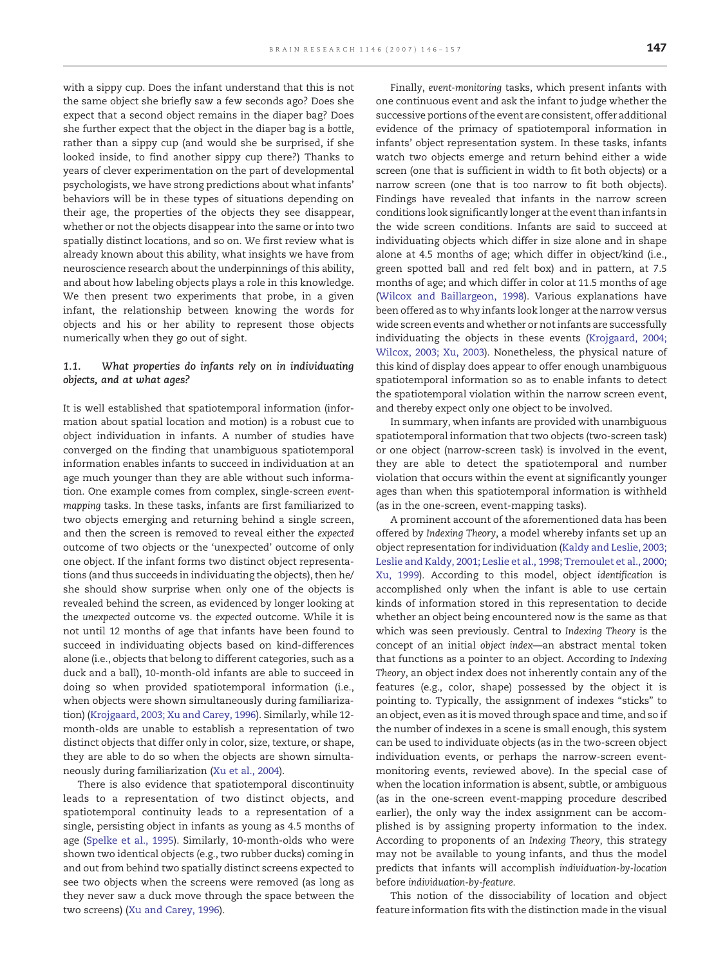with a sippy cup. Does the infant understand that this is not the same object she briefly saw a few seconds ago? Does she expect that a second object remains in the diaper bag? Does she further expect that the object in the diaper bag is a bottle, rather than a sippy cup (and would she be surprised, if she looked inside, to find another sippy cup there?) Thanks to years of clever experimentation on the part of developmental psychologists, we have strong predictions about what infants' behaviors will be in these types of situations depending on their age, the properties of the objects they see disappear, whether or not the objects disappear into the same or into two spatially distinct locations, and so on. We first review what is already known about this ability, what insights we have from neuroscience research about the underpinnings of this ability, and about how labeling objects plays a role in this knowledge. We then present two experiments that probe, in a given infant, the relationship between knowing the words for objects and his or her ability to represent those objects numerically when they go out of sight.

# 1.1. What properties do infants rely on in individuating objects, and at what ages?

It is well established that spatiotemporal information (information about spatial location and motion) is a robust cue to object individuation in infants. A number of studies have converged on the finding that unambiguous spatiotemporal information enables infants to succeed in individuation at an age much younger than they are able without such information. One example comes from complex, single-screen eventmapping tasks. In these tasks, infants are first familiarized to two objects emerging and returning behind a single screen, and then the screen is removed to reveal either the expected outcome of two objects or the 'unexpected' outcome of only one object. If the infant forms two distinct object representations (and thus succeeds in individuating the objects), then he/ she should show surprise when only one of the objects is revealed behind the screen, as evidenced by longer looking at the unexpected outcome vs. the expected outcome. While it is not until 12 months of age that infants have been found to succeed in individuating objects based on kind-differences alone (i.e., objects that belong to different categories, such as a duck and a ball), 10-month-old infants are able to succeed in doing so when provided spatiotemporal information (i.e., when objects were shown simultaneously during familiarization) [\(Krojgaard, 2003; Xu and Carey, 1996](#page-10-0)). Similarly, while 12 month-olds are unable to establish a representation of two distinct objects that differ only in color, size, texture, or shape, they are able to do so when the objects are shown simultaneously during familiarization [\(Xu et al., 2004](#page-11-0)).

There is also evidence that spatiotemporal discontinuity leads to a representation of two distinct objects, and spatiotemporal continuity leads to a representation of a single, persisting object in infants as young as 4.5 months of age ([Spelke et al., 1995\)](#page-10-0). Similarly, 10-month-olds who were shown two identical objects (e.g., two rubber ducks) coming in and out from behind two spatially distinct screens expected to see two objects when the screens were removed (as long as they never saw a duck move through the space between the two screens) ([Xu and Carey, 1996](#page-11-0)).

Finally, event-monitoring tasks, which present infants with one continuous event and ask the infant to judge whether the successive portions of the event are consistent, offer additional evidence of the primacy of spatiotemporal information in infants' object representation system. In these tasks, infants watch two objects emerge and return behind either a wide screen (one that is sufficient in width to fit both objects) or a narrow screen (one that is too narrow to fit both objects). Findings have revealed that infants in the narrow screen conditions look significantly longer at the event than infants in the wide screen conditions. Infants are said to succeed at individuating objects which differ in size alone and in shape alone at 4.5 months of age; which differ in object/kind (i.e., green spotted ball and red felt box) and in pattern, at 7.5 months of age; and which differ in color at 11.5 months of age [\(Wilcox and Baillargeon, 1998](#page-11-0)). Various explanations have been offered as to why infants look longer at the narrow versus wide screen events and whether or not infants are successfully individuating the objects in these events ([Krojgaard, 2004;](#page-10-0) [Wilcox, 2003; Xu, 2003\)](#page-10-0). Nonetheless, the physical nature of this kind of display does appear to offer enough unambiguous spatiotemporal information so as to enable infants to detect the spatiotemporal violation within the narrow screen event, and thereby expect only one object to be involved.

In summary, when infants are provided with unambiguous spatiotemporal information that two objects (two-screen task) or one object (narrow-screen task) is involved in the event, they are able to detect the spatiotemporal and number violation that occurs within the event at significantly younger ages than when this spatiotemporal information is withheld (as in the one-screen, event-mapping tasks).

A prominent account of the aforementioned data has been offered by Indexing Theory, a model whereby infants set up an object representation for individuation [\(Kaldy and Leslie, 2003;](#page-10-0) [Leslie and Kaldy, 2001; Leslie et al., 1998; Tremoulet et al., 2000;](#page-10-0) [Xu, 1999](#page-10-0)). According to this model, object identification is accomplished only when the infant is able to use certain kinds of information stored in this representation to decide whether an object being encountered now is the same as that which was seen previously. Central to Indexing Theory is the concept of an initial object index—an abstract mental token that functions as a pointer to an object. According to Indexing Theory, an object index does not inherently contain any of the features (e.g., color, shape) possessed by the object it is pointing to. Typically, the assignment of indexes "sticks" to an object, even as it is moved through space and time, and so if the number of indexes in a scene is small enough, this system can be used to individuate objects (as in the two-screen object individuation events, or perhaps the narrow-screen eventmonitoring events, reviewed above). In the special case of when the location information is absent, subtle, or ambiguous (as in the one-screen event-mapping procedure described earlier), the only way the index assignment can be accomplished is by assigning property information to the index. According to proponents of an Indexing Theory, this strategy may not be available to young infants, and thus the model predicts that infants will accomplish individuation-by-location before individuation-by-feature.

This notion of the dissociability of location and object feature information fits with the distinction made in the visual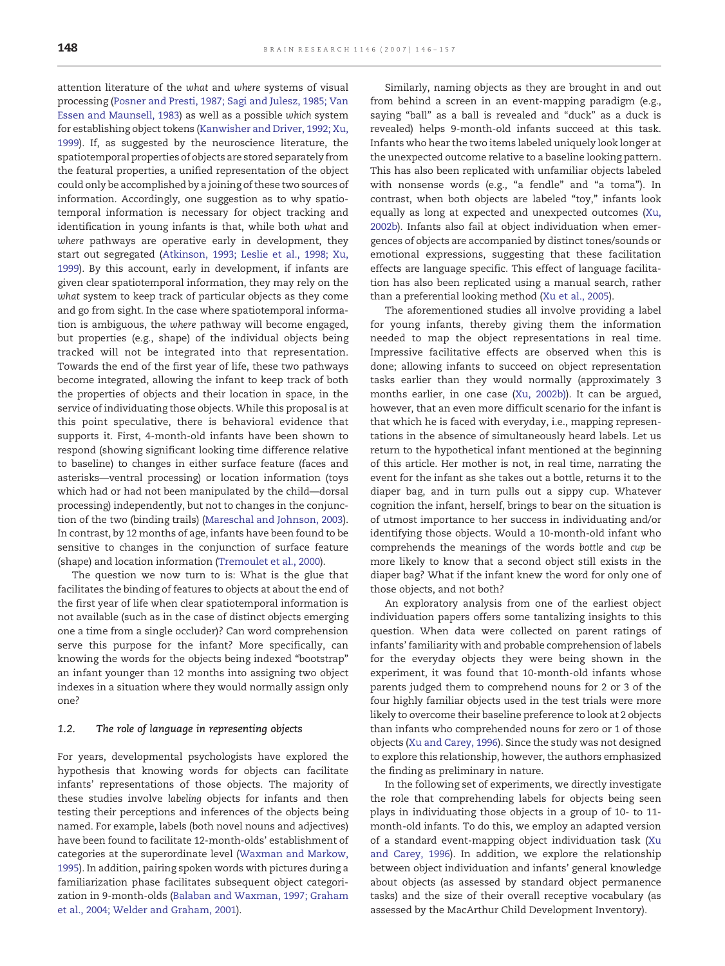attention literature of the what and where systems of visual processing [\(Posner and Presti, 1987; Sagi and Julesz, 1985; Van](#page-10-0) [Essen and Maunsell, 1983](#page-10-0)) as well as a possible which system for establishing object tokens [\(Kanwisher and Driver, 1992; Xu,](#page-10-0) [1999\)](#page-10-0). If, as suggested by the neuroscience literature, the spatiotemporal properties of objects are stored separately from the featural properties, a unified representation of the object could only be accomplished by a joining of these two sources of information. Accordingly, one suggestion as to why spatiotemporal information is necessary for object tracking and identification in young infants is that, while both what and where pathways are operative early in development, they start out segregated ([Atkinson, 1993; Leslie et al., 1998; Xu,](#page-10-0) [1999\)](#page-10-0). By this account, early in development, if infants are given clear spatiotemporal information, they may rely on the what system to keep track of particular objects as they come and go from sight. In the case where spatiotemporal information is ambiguous, the where pathway will become engaged, but properties (e.g., shape) of the individual objects being tracked will not be integrated into that representation. Towards the end of the first year of life, these two pathways become integrated, allowing the infant to keep track of both the properties of objects and their location in space, in the service of individuating those objects. While this proposal is at this point speculative, there is behavioral evidence that supports it. First, 4-month-old infants have been shown to respond (showing significant looking time difference relative to baseline) to changes in either surface feature (faces and asterisks—ventral processing) or location information (toys which had or had not been manipulated by the child—dorsal processing) independently, but not to changes in the conjunction of the two (binding trails) ([Mareschal and Johnson, 2003\)](#page-10-0). In contrast, by 12 months of age, infants have been found to be sensitive to changes in the conjunction of surface feature (shape) and location information [\(Tremoulet et al., 2000\)](#page-10-0).

The question we now turn to is: What is the glue that facilitates the binding of features to objects at about the end of the first year of life when clear spatiotemporal information is not available (such as in the case of distinct objects emerging one a time from a single occluder)? Can word comprehension serve this purpose for the infant? More specifically, can knowing the words for the objects being indexed "bootstrap" an infant younger than 12 months into assigning two object indexes in a situation where they would normally assign only one?

## 1.2. The role of language in representing objects

For years, developmental psychologists have explored the hypothesis that knowing words for objects can facilitate infants' representations of those objects. The majority of these studies involve labeling objects for infants and then testing their perceptions and inferences of the objects being named. For example, labels (both novel nouns and adjectives) have been found to facilitate 12-month-olds' establishment of categories at the superordinate level ([Waxman and Markow,](#page-10-0) [1995\)](#page-10-0). In addition, pairing spoken words with pictures during a familiarization phase facilitates subsequent object categorization in 9-month-olds [\(Balaban and Waxman, 1997; Graham](#page-10-0) [et al., 2004; Welder and Graham, 2001](#page-10-0)).

Similarly, naming objects as they are brought in and out from behind a screen in an event-mapping paradigm (e.g., saying "ball" as a ball is revealed and "duck" as a duck is revealed) helps 9-month-old infants succeed at this task. Infants who hear the two items labeled uniquely look longer at the unexpected outcome relative to a baseline looking pattern. This has also been replicated with unfamiliar objects labeled with nonsense words (e.g., "a fendle" and "a toma"). In contrast, when both objects are labeled "toy," infants look equally as long at expected and unexpected outcomes ([Xu,](#page-11-0) [2002b](#page-11-0)). Infants also fail at object individuation when emergences of objects are accompanied by distinct tones/sounds or emotional expressions, suggesting that these facilitation effects are language specific. This effect of language facilitation has also been replicated using a manual search, rather than a preferential looking method [\(Xu et al., 2005](#page-11-0)).

The aforementioned studies all involve providing a label for young infants, thereby giving them the information needed to map the object representations in real time. Impressive facilitative effects are observed when this is done; allowing infants to succeed on object representation tasks earlier than they would normally (approximately 3 months earlier, in one case [\(Xu, 2002b\)](#page-11-0)). It can be argued, however, that an even more difficult scenario for the infant is that which he is faced with everyday, i.e., mapping representations in the absence of simultaneously heard labels. Let us return to the hypothetical infant mentioned at the beginning of this article. Her mother is not, in real time, narrating the event for the infant as she takes out a bottle, returns it to the diaper bag, and in turn pulls out a sippy cup. Whatever cognition the infant, herself, brings to bear on the situation is of utmost importance to her success in individuating and/or identifying those objects. Would a 10-month-old infant who comprehends the meanings of the words bottle and cup be more likely to know that a second object still exists in the diaper bag? What if the infant knew the word for only one of those objects, and not both?

An exploratory analysis from one of the earliest object individuation papers offers some tantalizing insights to this question. When data were collected on parent ratings of infants' familiarity with and probable comprehension of labels for the everyday objects they were being shown in the experiment, it was found that 10-month-old infants whose parents judged them to comprehend nouns for 2 or 3 of the four highly familiar objects used in the test trials were more likely to overcome their baseline preference to look at 2 objects than infants who comprehended nouns for zero or 1 of those objects ([Xu and Carey, 1996\)](#page-11-0). Since the study was not designed to explore this relationship, however, the authors emphasized the finding as preliminary in nature.

In the following set of experiments, we directly investigate the role that comprehending labels for objects being seen plays in individuating those objects in a group of 10- to 11 month-old infants. To do this, we employ an adapted version of a standard event-mapping object individuation task ([Xu](#page-11-0) [and Carey, 1996\)](#page-11-0). In addition, we explore the relationship between object individuation and infants' general knowledge about objects (as assessed by standard object permanence tasks) and the size of their overall receptive vocabulary (as assessed by the MacArthur Child Development Inventory).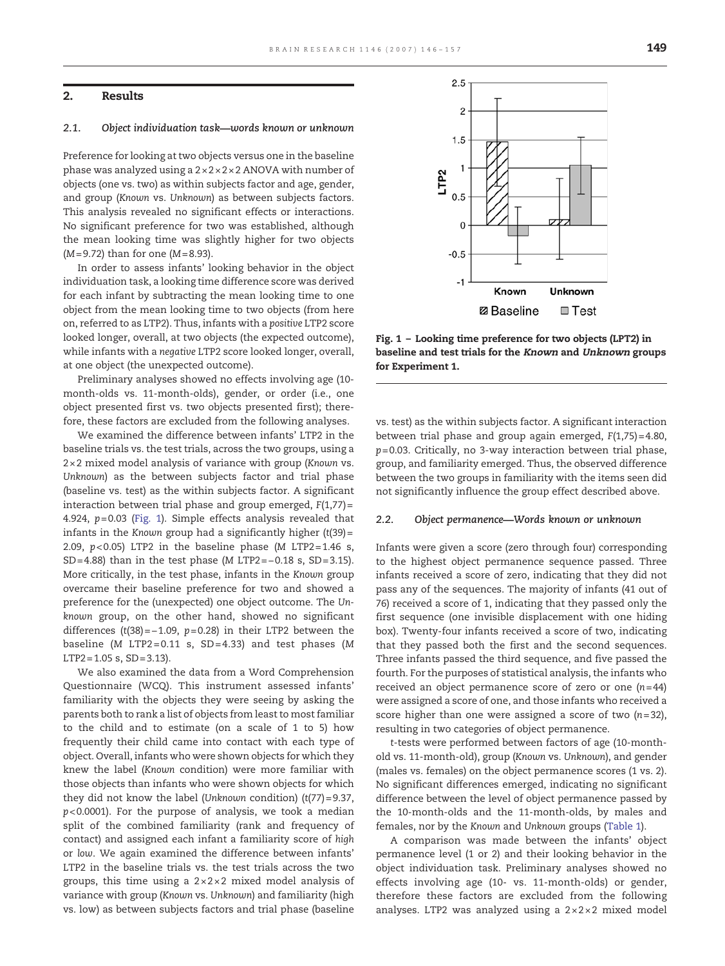# 2. Results

#### 2.1. Object individuation task—words known or unknown

Preference for looking at two objects versus one in the baseline phase was analyzed using a 2× 2 × 2× 2 ANOVA with number of objects (one vs. two) as within subjects factor and age, gender, and group (Known vs. Unknown) as between subjects factors. This analysis revealed no significant effects or interactions. No significant preference for two was established, although the mean looking time was slightly higher for two objects  $(M = 9.72)$  than for one  $(M = 8.93)$ .

In order to assess infants' looking behavior in the object individuation task, a looking time difference score was derived for each infant by subtracting the mean looking time to one object from the mean looking time to two objects (from here on, referred to as LTP2). Thus, infants with a positive LTP2 score looked longer, overall, at two objects (the expected outcome), while infants with a negative LTP2 score looked longer, overall, at one object (the unexpected outcome).

Preliminary analyses showed no effects involving age (10 month-olds vs. 11-month-olds), gender, or order (i.e., one object presented first vs. two objects presented first); therefore, these factors are excluded from the following analyses.

We examined the difference between infants' LTP2 in the baseline trials vs. the test trials, across the two groups, using a 2× 2 mixed model analysis of variance with group (Known vs. Unknown) as the between subjects factor and trial phase (baseline vs. test) as the within subjects factor. A significant interaction between trial phase and group emerged,  $F(1,77)$  = 4.924,  $p = 0.03$  (Fig. 1). Simple effects analysis revealed that infants in the Known group had a significantly higher  $(t(39)$  = 2.09,  $p < 0.05$ ) LTP2 in the baseline phase (M LTP2=1.46 s, SD= 4.88) than in the test phase (M LTP2=-0.18 s, SD=3.15). More critically, in the test phase, infants in the Known group overcame their baseline preference for two and showed a preference for the (unexpected) one object outcome. The Unknown group, on the other hand, showed no significant differences (t(38) =  $-1.09$ , p=0.28) in their LTP2 between the baseline (M LTP2=0.11 s,  $SD=4.33$ ) and test phases (M  $LTP2 = 1.05$  s,  $SD = 3.13$ ).

We also examined the data from a Word Comprehension Questionnaire (WCQ). This instrument assessed infants' familiarity with the objects they were seeing by asking the parents both to rank a list of objects from least to most familiar to the child and to estimate (on a scale of 1 to 5) how frequently their child came into contact with each type of object. Overall, infants who were shown objects for which they knew the label (Known condition) were more familiar with those objects than infants who were shown objects for which they did not know the label (Unknown condition)  $(t(77)=9.37)$ ,  $p$ <0.0001). For the purpose of analysis, we took a median split of the combined familiarity (rank and frequency of contact) and assigned each infant a familiarity score of high or low. We again examined the difference between infants' LTP2 in the baseline trials vs. the test trials across the two groups, this time using a  $2 \times 2 \times 2$  mixed model analysis of variance with group (Known vs. Unknown) and familiarity (high vs. low) as between subjects factors and trial phase (baseline



Fig. 1 – Looking time preference for two objects (LPT2) in baseline and test trials for the Known and Unknown groups for Experiment 1.

vs. test) as the within subjects factor. A significant interaction between trial phase and group again emerged, F(1,75)= 4.80,  $p = 0.03$ . Critically, no 3-way interaction between trial phase, group, and familiarity emerged. Thus, the observed difference between the two groups in familiarity with the items seen did not significantly influence the group effect described above.

# 2.2. Object permanence—Words known or unknown

Infants were given a score (zero through four) corresponding to the highest object permanence sequence passed. Three infants received a score of zero, indicating that they did not pass any of the sequences. The majority of infants (41 out of 76) received a score of 1, indicating that they passed only the first sequence (one invisible displacement with one hiding box). Twenty-four infants received a score of two, indicating that they passed both the first and the second sequences. Three infants passed the third sequence, and five passed the fourth. For the purposes of statistical analysis, the infants who received an object permanence score of zero or one  $(n=44)$ were assigned a score of one, and those infants who received a score higher than one were assigned a score of two  $(n=32)$ , resulting in two categories of object permanence.

t-tests were performed between factors of age (10-monthold vs. 11-month-old), group (Known vs. Unknown), and gender (males vs. females) on the object permanence scores (1 vs. 2). No significant differences emerged, indicating no significant difference between the level of object permanence passed by the 10-month-olds and the 11-month-olds, by males and females, nor by the Known and Unknown groups ([Table 1\)](#page-4-0).

A comparison was made between the infants' object permanence level (1 or 2) and their looking behavior in the object individuation task. Preliminary analyses showed no effects involving age (10- vs. 11-month-olds) or gender, therefore these factors are excluded from the following analyses. LTP2 was analyzed using a  $2 \times 2 \times 2$  mixed model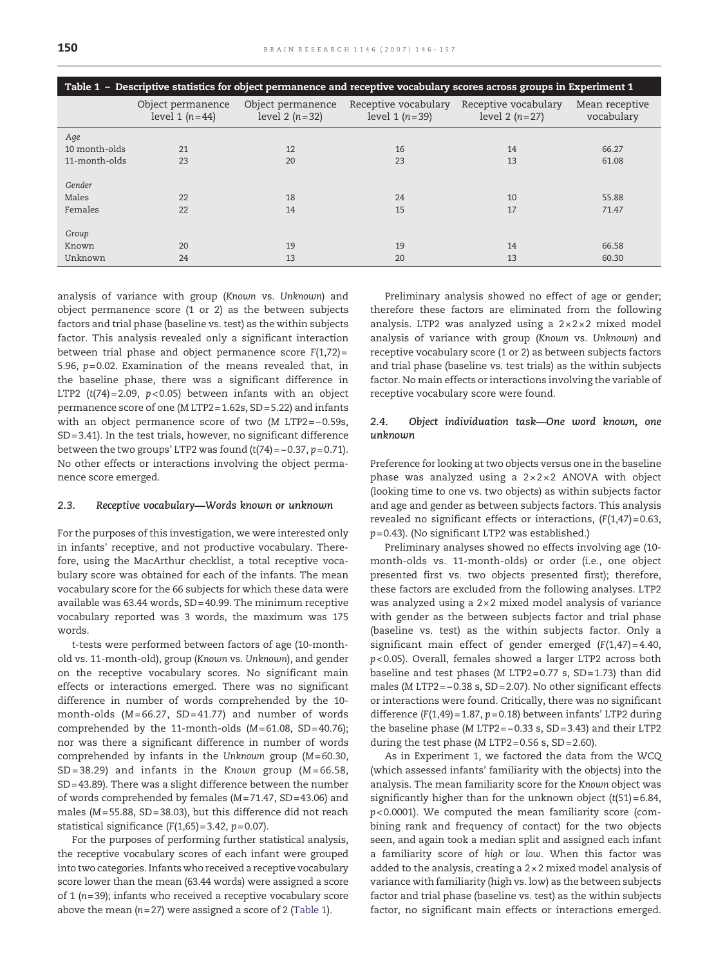<span id="page-4-0"></span>

| Table 1 - Descriptive statistics for object permanence and receptive vocabulary scores across groups in Experiment 1 |                                       |                                      |                                         |                                         |                              |
|----------------------------------------------------------------------------------------------------------------------|---------------------------------------|--------------------------------------|-----------------------------------------|-----------------------------------------|------------------------------|
|                                                                                                                      | Object permanence<br>level 1 $(n=44)$ | Object permanence<br>level $2(n=32)$ | Receptive vocabulary<br>level $1(n=39)$ | Receptive vocabulary<br>level $2(n=27)$ | Mean receptive<br>vocabulary |
| Age                                                                                                                  |                                       |                                      |                                         |                                         |                              |
| 10 month-olds                                                                                                        | 21                                    | 12                                   | 16                                      | 14                                      | 66.27                        |
| 11-month-olds                                                                                                        | 23                                    | 20                                   | 23                                      | 13                                      | 61.08                        |
|                                                                                                                      |                                       |                                      |                                         |                                         |                              |
| Gender                                                                                                               |                                       |                                      |                                         |                                         |                              |
| Males                                                                                                                | 22                                    | 18                                   | 24                                      | 10                                      | 55.88                        |
| Females                                                                                                              | 22                                    | 14                                   | 15                                      | 17                                      | 71.47                        |
|                                                                                                                      |                                       |                                      |                                         |                                         |                              |
| Group                                                                                                                |                                       |                                      |                                         |                                         |                              |
| Known                                                                                                                | 20                                    | 19                                   | 19                                      | 14                                      | 66.58                        |
| Unknown                                                                                                              | 24                                    | 13                                   | 20                                      | 13                                      | 60.30                        |

analysis of variance with group (Known vs. Unknown) and object permanence score (1 or 2) as the between subjects factors and trial phase (baseline vs. test) as the within subjects factor. This analysis revealed only a significant interaction between trial phase and object permanence score  $F(1,72)$ = 5.96,  $p = 0.02$ . Examination of the means revealed that, in the baseline phase, there was a significant difference in LTP2 ( $t(74) = 2.09$ ,  $p < 0.05$ ) between infants with an object permanence score of one (M LTP2= 1.62s, SD= 5.22) and infants with an object permanence score of two (M LTP2 = −0.59s, SD= 3.41). In the test trials, however, no significant difference between the two groups' LTP2 was found  $(t(74)=-0.37, p=0.71)$ . No other effects or interactions involving the object permanence score emerged.

# 2.3. Receptive vocabulary—Words known or unknown

For the purposes of this investigation, we were interested only in infants' receptive, and not productive vocabulary. Therefore, using the MacArthur checklist, a total receptive vocabulary score was obtained for each of the infants. The mean vocabulary score for the 66 subjects for which these data were available was 63.44 words, SD= 40.99. The minimum receptive vocabulary reported was 3 words, the maximum was 175 words.

t-tests were performed between factors of age (10-monthold vs. 11-month-old), group (Known vs. Unknown), and gender on the receptive vocabulary scores. No significant main effects or interactions emerged. There was no significant difference in number of words comprehended by the 10 month-olds ( $M = 66.27$ ,  $SD = 41.77$ ) and number of words comprehended by the 11-month-olds  $(M= 61.08, SD= 40.76)$ ; nor was there a significant difference in number of words comprehended by infants in the Unknown group  $(M= 60.30,$  $SD = 38.29$ ) and infants in the Known group (M=66.58, SD= 43.89). There was a slight difference between the number of words comprehended by females (M= 71.47, SD= 43.06) and males (M= 55.88, SD= 38.03), but this difference did not reach statistical significance  $(F(1,65)= 3.42, p= 0.07)$ .

For the purposes of performing further statistical analysis, the receptive vocabulary scores of each infant were grouped into two categories. Infants who received a receptive vocabulary score lower than the mean (63.44 words) were assigned a score of 1 ( $n=39$ ); infants who received a receptive vocabulary score above the mean  $(n=27)$  were assigned a score of 2 (Table 1).

Preliminary analysis showed no effect of age or gender; therefore these factors are eliminated from the following analysis. LTP2 was analyzed using a  $2 \times 2 \times 2$  mixed model analysis of variance with group (Known vs. Unknown) and receptive vocabulary score (1 or 2) as between subjects factors and trial phase (baseline vs. test trials) as the within subjects factor. No main effects or interactions involving the variable of receptive vocabulary score were found.

# 2.4. Object individuation task—One word known, one unknown

Preference for looking at two objects versus one in the baseline phase was analyzed using a  $2 \times 2 \times 2$  ANOVA with object (looking time to one vs. two objects) as within subjects factor and age and gender as between subjects factors. This analysis revealed no significant effects or interactions,  $(F(1,47)=0.63,$  $p = 0.43$ ). (No significant LTP2 was established.)

Preliminary analyses showed no effects involving age (10 month-olds vs. 11-month-olds) or order (i.e., one object presented first vs. two objects presented first); therefore, these factors are excluded from the following analyses. LTP2 was analyzed using a  $2\times 2$  mixed model analysis of variance with gender as the between subjects factor and trial phase (baseline vs. test) as the within subjects factor. Only a significant main effect of gender emerged  $(F(1,47) = 4.40,$ p< 0.05). Overall, females showed a larger LTP2 across both baseline and test phases (M LTP2= $0.77$  s, SD= $1.73$ ) than did males (M LTP2=−0.38 s, SD= 2.07). No other significant effects or interactions were found. Critically, there was no significant difference  $(F(1,49) = 1.87, p = 0.18)$  between infants' LTP2 during the baseline phase (M LTP2 =−0.33 s, SD= 3.43) and their LTP2 during the test phase (M LTP2= $0.56$  s, SD= $2.60$ ).

As in Experiment 1, we factored the data from the WCQ (which assessed infants' familiarity with the objects) into the analysis. The mean familiarity score for the Known object was significantly higher than for the unknown object (t(51) = 6.84,  $p$ <0.0001). We computed the mean familiarity score (combining rank and frequency of contact) for the two objects seen, and again took a median split and assigned each infant a familiarity score of high or low. When this factor was added to the analysis, creating a 2× 2 mixed model analysis of variance with familiarity (high vs. low) as the between subjects factor and trial phase (baseline vs. test) as the within subjects factor, no significant main effects or interactions emerged.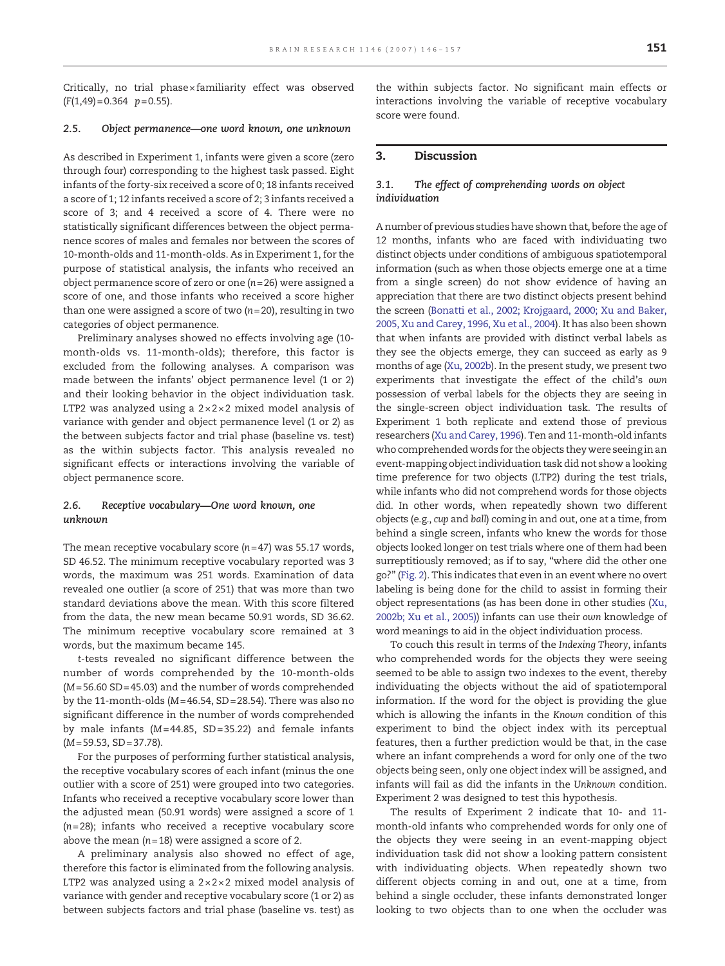Critically, no trial phase× familiarity effect was observed  $(F(1, 49) = 0.364 \quad p = 0.55).$ 

# 2.5. Object permanence—one word known, one unknown

As described in Experiment 1, infants were given a score (zero through four) corresponding to the highest task passed. Eight infants of the forty-six received a score of 0; 18 infants received a score of 1; 12 infants received a score of 2; 3 infants received a score of 3; and 4 received a score of 4. There were no statistically significant differences between the object permanence scores of males and females nor between the scores of 10-month-olds and 11-month-olds. As in Experiment 1, for the purpose of statistical analysis, the infants who received an object permanence score of zero or one  $(n=26)$  were assigned a score of one, and those infants who received a score higher than one were assigned a score of two  $(n=20)$ , resulting in two categories of object permanence.

Preliminary analyses showed no effects involving age (10 month-olds vs. 11-month-olds); therefore, this factor is excluded from the following analyses. A comparison was made between the infants' object permanence level (1 or 2) and their looking behavior in the object individuation task. LTP2 was analyzed using a  $2 \times 2 \times 2$  mixed model analysis of variance with gender and object permanence level (1 or 2) as the between subjects factor and trial phase (baseline vs. test) as the within subjects factor. This analysis revealed no significant effects or interactions involving the variable of object permanence score.

# 2.6. Receptive vocabulary—One word known, one unknown

The mean receptive vocabulary score  $(n=47)$  was 55.17 words, SD 46.52. The minimum receptive vocabulary reported was 3 words, the maximum was 251 words. Examination of data revealed one outlier (a score of 251) that was more than two standard deviations above the mean. With this score filtered from the data, the new mean became 50.91 words, SD 36.62. The minimum receptive vocabulary score remained at 3 words, but the maximum became 145.

t-tests revealed no significant difference between the number of words comprehended by the 10-month-olds (M= 56.60 SD= 45.03) and the number of words comprehended by the 11-month-olds ( $M = 46.54$ , SD = 28.54). There was also no significant difference in the number of words comprehended by male infants ( $M = 44.85$ , SD = 35.22) and female infants  $(M = 59.53, SD = 37.78).$ 

For the purposes of performing further statistical analysis, the receptive vocabulary scores of each infant (minus the one outlier with a score of 251) were grouped into two categories. Infants who received a receptive vocabulary score lower than the adjusted mean (50.91 words) were assigned a score of 1  $(n= 28)$ ; infants who received a receptive vocabulary score above the mean  $(n= 18)$  were assigned a score of 2.

A preliminary analysis also showed no effect of age, therefore this factor is eliminated from the following analysis. LTP2 was analyzed using a  $2 \times 2 \times 2$  mixed model analysis of variance with gender and receptive vocabulary score (1 or 2) as between subjects factors and trial phase (baseline vs. test) as

the within subjects factor. No significant main effects or interactions involving the variable of receptive vocabulary score were found.

# 3. Discussion

# 3.1. The effect of comprehending words on object individuation

A number of previous studies have shown that, before the age of 12 months, infants who are faced with individuating two distinct objects under conditions of ambiguous spatiotemporal information (such as when those objects emerge one at a time from a single screen) do not show evidence of having an appreciation that there are two distinct objects present behind the screen [\(Bonatti et al., 2002; Krojgaard, 2000; Xu and Baker,](#page-10-0) [2005, Xu and Carey, 1996, Xu et al., 2004](#page-10-0)). It has also been shown that when infants are provided with distinct verbal labels as they see the objects emerge, they can succeed as early as 9 months of age [\(Xu, 2002b\)](#page-11-0). In the present study, we present two experiments that investigate the effect of the child's own possession of verbal labels for the objects they are seeing in the single-screen object individuation task. The results of Experiment 1 both replicate and extend those of previous researchers [\(Xu and Carey, 1996\)](#page-11-0). Ten and 11-month-old infants who comprehended words for the objects they were seeing in an event-mapping object individuation task did not show a looking time preference for two objects (LTP2) during the test trials, while infants who did not comprehend words for those objects did. In other words, when repeatedly shown two different objects (e.g., cup and ball) coming in and out, one at a time, from behind a single screen, infants who knew the words for those objects looked longer on test trials where one of them had been surreptitiously removed; as if to say, "where did the other one go?" [\(Fig. 2](#page-6-0)). This indicates that even in an event where no overt labeling is being done for the child to assist in forming their object representations (as has been done in other studies [\(Xu,](#page-11-0) [2002b; Xu et al., 2005\)\)](#page-11-0) infants can use their own knowledge of word meanings to aid in the object individuation process.

To couch this result in terms of the Indexing Theory, infants who comprehended words for the objects they were seeing seemed to be able to assign two indexes to the event, thereby individuating the objects without the aid of spatiotemporal information. If the word for the object is providing the glue which is allowing the infants in the Known condition of this experiment to bind the object index with its perceptual features, then a further prediction would be that, in the case where an infant comprehends a word for only one of the two objects being seen, only one object index will be assigned, and infants will fail as did the infants in the Unknown condition. Experiment 2 was designed to test this hypothesis.

The results of Experiment 2 indicate that 10- and 11 month-old infants who comprehended words for only one of the objects they were seeing in an event-mapping object individuation task did not show a looking pattern consistent with individuating objects. When repeatedly shown two different objects coming in and out, one at a time, from behind a single occluder, these infants demonstrated longer looking to two objects than to one when the occluder was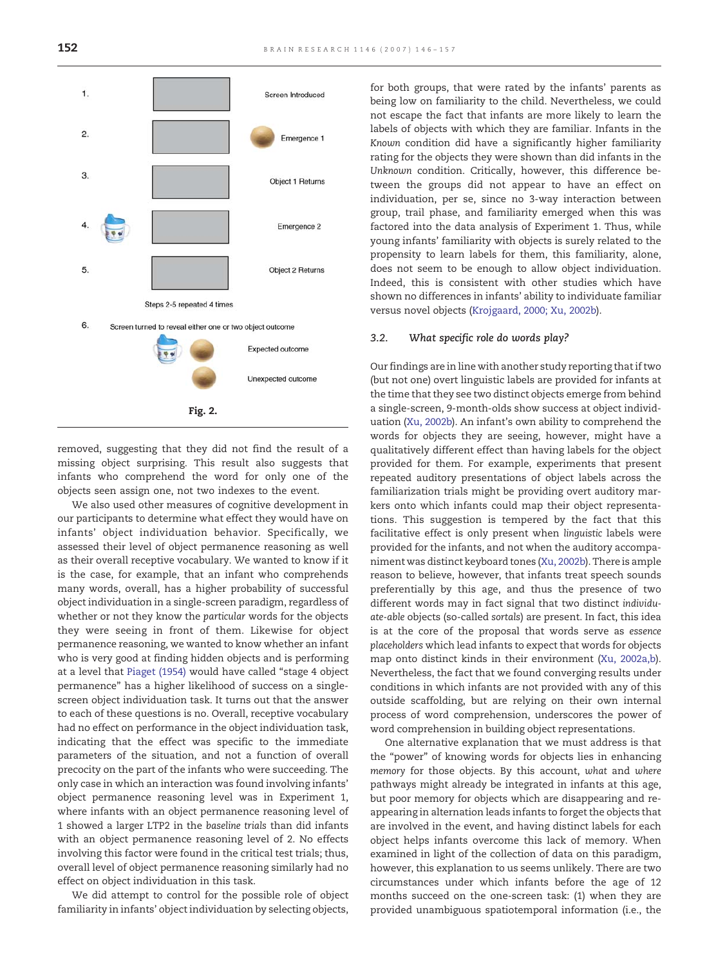<span id="page-6-0"></span>

removed, suggesting that they did not find the result of a missing object surprising. This result also suggests that infants who comprehend the word for only one of the objects seen assign one, not two indexes to the event.

We also used other measures of cognitive development in our participants to determine what effect they would have on infants' object individuation behavior. Specifically, we assessed their level of object permanence reasoning as well as their overall receptive vocabulary. We wanted to know if it is the case, for example, that an infant who comprehends many words, overall, has a higher probability of successful object individuation in a single-screen paradigm, regardless of whether or not they know the particular words for the objects they were seeing in front of them. Likewise for object permanence reasoning, we wanted to know whether an infant who is very good at finding hidden objects and is performing at a level that [Piaget \(1954\)](#page-10-0) would have called "stage 4 object permanence" has a higher likelihood of success on a singlescreen object individuation task. It turns out that the answer to each of these questions is no. Overall, receptive vocabulary had no effect on performance in the object individuation task, indicating that the effect was specific to the immediate parameters of the situation, and not a function of overall precocity on the part of the infants who were succeeding. The only case in which an interaction was found involving infants' object permanence reasoning level was in Experiment 1, where infants with an object permanence reasoning level of 1 showed a larger LTP2 in the baseline trials than did infants with an object permanence reasoning level of 2. No effects involving this factor were found in the critical test trials; thus, overall level of object permanence reasoning similarly had no effect on object individuation in this task.

We did attempt to control for the possible role of object familiarity in infants' object individuation by selecting objects,

for both groups, that were rated by the infants' parents as being low on familiarity to the child. Nevertheless, we could not escape the fact that infants are more likely to learn the labels of objects with which they are familiar. Infants in the Known condition did have a significantly higher familiarity rating for the objects they were shown than did infants in the Unknown condition. Critically, however, this difference between the groups did not appear to have an effect on individuation, per se, since no 3-way interaction between group, trail phase, and familiarity emerged when this was factored into the data analysis of Experiment 1. Thus, while young infants' familiarity with objects is surely related to the propensity to learn labels for them, this familiarity, alone, does not seem to be enough to allow object individuation. Indeed, this is consistent with other studies which have shown no differences in infants' ability to individuate familiar versus novel objects [\(Krojgaard, 2000; Xu, 2002b\)](#page-10-0).

#### 3.2. What specific role do words play?

Our findings are in line with another study reporting that if two (but not one) overt linguistic labels are provided for infants at the time that they see two distinct objects emerge from behind a single-screen, 9-month-olds show success at object individuation [\(Xu, 2002b](#page-11-0)). An infant's own ability to comprehend the words for objects they are seeing, however, might have a qualitatively different effect than having labels for the object provided for them. For example, experiments that present repeated auditory presentations of object labels across the familiarization trials might be providing overt auditory markers onto which infants could map their object representations. This suggestion is tempered by the fact that this facilitative effect is only present when linguistic labels were provided for the infants, and not when the auditory accompaniment was distinct keyboard tones [\(Xu, 2002b\)](#page-11-0). There is ample reason to believe, however, that infants treat speech sounds preferentially by this age, and thus the presence of two different words may in fact signal that two distinct individuate-able objects (so-called sortals) are present. In fact, this idea is at the core of the proposal that words serve as essence placeholders which lead infants to expect that words for objects map onto distinct kinds in their environment ([Xu, 2002a,b\)](#page-11-0). Nevertheless, the fact that we found converging results under conditions in which infants are not provided with any of this outside scaffolding, but are relying on their own internal process of word comprehension, underscores the power of word comprehension in building object representations.

One alternative explanation that we must address is that the "power" of knowing words for objects lies in enhancing memory for those objects. By this account, what and where pathways might already be integrated in infants at this age, but poor memory for objects which are disappearing and reappearing in alternation leads infants to forget the objects that are involved in the event, and having distinct labels for each object helps infants overcome this lack of memory. When examined in light of the collection of data on this paradigm, however, this explanation to us seems unlikely. There are two circumstances under which infants before the age of 12 months succeed on the one-screen task: (1) when they are provided unambiguous spatiotemporal information (i.e., the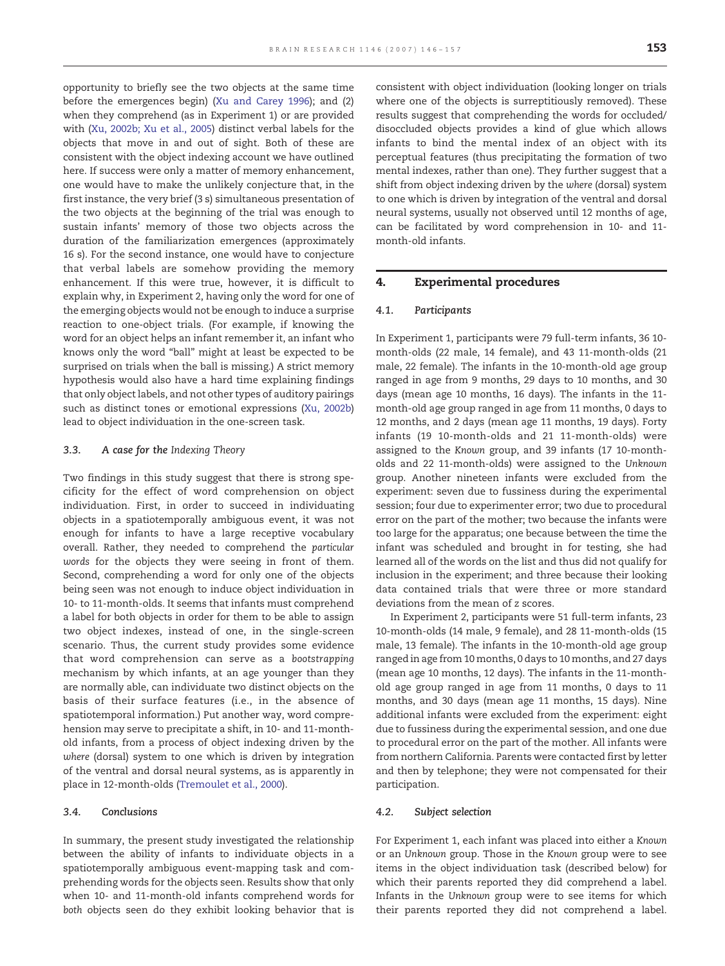opportunity to briefly see the two objects at the same time before the emergences begin) [\(Xu and Carey 1996](#page-11-0)); and (2) when they comprehend (as in Experiment 1) or are provided with [\(Xu, 2002b; Xu et al., 2005](#page-11-0)) distinct verbal labels for the objects that move in and out of sight. Both of these are consistent with the object indexing account we have outlined here. If success were only a matter of memory enhancement, one would have to make the unlikely conjecture that, in the first instance, the very brief (3 s) simultaneous presentation of the two objects at the beginning of the trial was enough to sustain infants' memory of those two objects across the duration of the familiarization emergences (approximately 16 s). For the second instance, one would have to conjecture that verbal labels are somehow providing the memory enhancement. If this were true, however, it is difficult to explain why, in Experiment 2, having only the word for one of the emerging objects would not be enough to induce a surprise reaction to one-object trials. (For example, if knowing the word for an object helps an infant remember it, an infant who knows only the word "ball" might at least be expected to be surprised on trials when the ball is missing.) A strict memory hypothesis would also have a hard time explaining findings that only object labels, and not other types of auditory pairings such as distinct tones or emotional expressions [\(Xu, 2002b\)](#page-11-0) lead to object individuation in the one-screen task.

# 3.3. A case for the Indexing Theory

Two findings in this study suggest that there is strong specificity for the effect of word comprehension on object individuation. First, in order to succeed in individuating objects in a spatiotemporally ambiguous event, it was not enough for infants to have a large receptive vocabulary overall. Rather, they needed to comprehend the particular words for the objects they were seeing in front of them. Second, comprehending a word for only one of the objects being seen was not enough to induce object individuation in 10- to 11-month-olds. It seems that infants must comprehend a label for both objects in order for them to be able to assign two object indexes, instead of one, in the single-screen scenario. Thus, the current study provides some evidence that word comprehension can serve as a bootstrapping mechanism by which infants, at an age younger than they are normally able, can individuate two distinct objects on the basis of their surface features (i.e., in the absence of spatiotemporal information.) Put another way, word comprehension may serve to precipitate a shift, in 10- and 11-monthold infants, from a process of object indexing driven by the where (dorsal) system to one which is driven by integration of the ventral and dorsal neural systems, as is apparently in place in 12-month-olds [\(Tremoulet et al., 2000\)](#page-10-0).

#### 3.4. Conclusions

In summary, the present study investigated the relationship between the ability of infants to individuate objects in a spatiotemporally ambiguous event-mapping task and comprehending words for the objects seen. Results show that only when 10- and 11-month-old infants comprehend words for both objects seen do they exhibit looking behavior that is

consistent with object individuation (looking longer on trials where one of the objects is surreptitiously removed). These results suggest that comprehending the words for occluded/ disoccluded objects provides a kind of glue which allows infants to bind the mental index of an object with its perceptual features (thus precipitating the formation of two mental indexes, rather than one). They further suggest that a shift from object indexing driven by the where (dorsal) system to one which is driven by integration of the ventral and dorsal neural systems, usually not observed until 12 months of age, can be facilitated by word comprehension in 10- and 11 month-old infants.

# 4. Experimental procedures

#### 4.1. Participants

In Experiment 1, participants were 79 full-term infants, 36 10 month-olds (22 male, 14 female), and 43 11-month-olds (21 male, 22 female). The infants in the 10-month-old age group ranged in age from 9 months, 29 days to 10 months, and 30 days (mean age 10 months, 16 days). The infants in the 11 month-old age group ranged in age from 11 months, 0 days to 12 months, and 2 days (mean age 11 months, 19 days). Forty infants (19 10-month-olds and 21 11-month-olds) were assigned to the Known group, and 39 infants (17 10-montholds and 22 11-month-olds) were assigned to the Unknown group. Another nineteen infants were excluded from the experiment: seven due to fussiness during the experimental session; four due to experimenter error; two due to procedural error on the part of the mother; two because the infants were too large for the apparatus; one because between the time the infant was scheduled and brought in for testing, she had learned all of the words on the list and thus did not qualify for inclusion in the experiment; and three because their looking data contained trials that were three or more standard deviations from the mean of z scores.

In Experiment 2, participants were 51 full-term infants, 23 10-month-olds (14 male, 9 female), and 28 11-month-olds (15 male, 13 female). The infants in the 10-month-old age group ranged in age from 10 months, 0 days to 10 months, and 27 days (mean age 10 months, 12 days). The infants in the 11-monthold age group ranged in age from 11 months, 0 days to 11 months, and 30 days (mean age 11 months, 15 days). Nine additional infants were excluded from the experiment: eight due to fussiness during the experimental session, and one due to procedural error on the part of the mother. All infants were from northern California. Parents were contacted first by letter and then by telephone; they were not compensated for their participation.

### 4.2. Subject selection

For Experiment 1, each infant was placed into either a Known or an Unknown group. Those in the Known group were to see items in the object individuation task (described below) for which their parents reported they did comprehend a label. Infants in the Unknown group were to see items for which their parents reported they did not comprehend a label.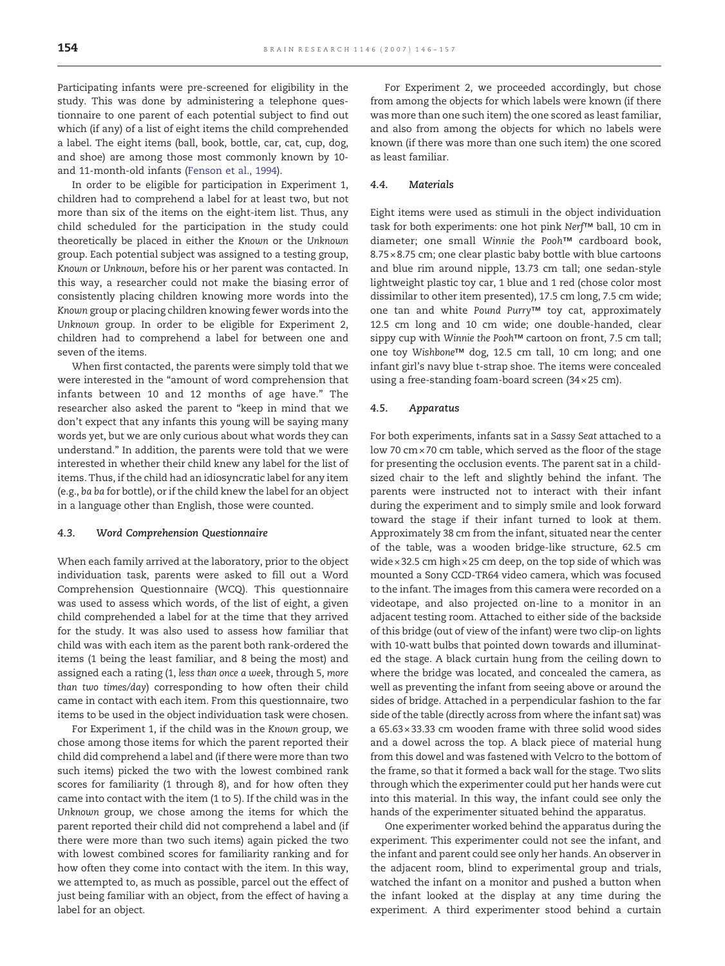Participating infants were pre-screened for eligibility in the study. This was done by administering a telephone questionnaire to one parent of each potential subject to find out which (if any) of a list of eight items the child comprehended a label. The eight items (ball, book, bottle, car, cat, cup, dog, and shoe) are among those most commonly known by 10 and 11-month-old infants [\(Fenson et al., 1994\)](#page-10-0).

In order to be eligible for participation in Experiment 1, children had to comprehend a label for at least two, but not more than six of the items on the eight-item list. Thus, any child scheduled for the participation in the study could theoretically be placed in either the Known or the Unknown group. Each potential subject was assigned to a testing group, Known or Unknown, before his or her parent was contacted. In this way, a researcher could not make the biasing error of consistently placing children knowing more words into the Known group or placing children knowing fewer words into the Unknown group. In order to be eligible for Experiment 2, children had to comprehend a label for between one and seven of the items.

When first contacted, the parents were simply told that we were interested in the "amount of word comprehension that infants between 10 and 12 months of age have." The researcher also asked the parent to "keep in mind that we don't expect that any infants this young will be saying many words yet, but we are only curious about what words they can understand." In addition, the parents were told that we were interested in whether their child knew any label for the list of items. Thus, if the child had an idiosyncratic label for any item (e.g., ba ba for bottle), or if the child knew the label for an object in a language other than English, those were counted.

#### 4.3. Word Comprehension Questionnaire

When each family arrived at the laboratory, prior to the object individuation task, parents were asked to fill out a Word Comprehension Questionnaire (WCQ). This questionnaire was used to assess which words, of the list of eight, a given child comprehended a label for at the time that they arrived for the study. It was also used to assess how familiar that child was with each item as the parent both rank-ordered the items (1 being the least familiar, and 8 being the most) and assigned each a rating (1, less than once a week, through 5, more than two times/day) corresponding to how often their child came in contact with each item. From this questionnaire, two items to be used in the object individuation task were chosen.

For Experiment 1, if the child was in the Known group, we chose among those items for which the parent reported their child did comprehend a label and (if there were more than two such items) picked the two with the lowest combined rank scores for familiarity (1 through 8), and for how often they came into contact with the item (1 to 5). If the child was in the Unknown group, we chose among the items for which the parent reported their child did not comprehend a label and (if there were more than two such items) again picked the two with lowest combined scores for familiarity ranking and for how often they come into contact with the item. In this way, we attempted to, as much as possible, parcel out the effect of just being familiar with an object, from the effect of having a label for an object.

For Experiment 2, we proceeded accordingly, but chose from among the objects for which labels were known (if there was more than one such item) the one scored as least familiar, and also from among the objects for which no labels were known (if there was more than one such item) the one scored as least familiar.

# 4.4. Materials

Eight items were used as stimuli in the object individuation task for both experiments: one hot pink Nerf™ ball, 10 cm in diameter; one small Winnie the Pooh™ cardboard book, 8.75× 8.75 cm; one clear plastic baby bottle with blue cartoons and blue rim around nipple, 13.73 cm tall; one sedan-style lightweight plastic toy car, 1 blue and 1 red (chose color most dissimilar to other item presented), 17.5 cm long, 7.5 cm wide; one tan and white Pound Purry™ toy cat, approximately 12.5 cm long and 10 cm wide; one double-handed, clear sippy cup with Winnie the Pooh<sup>™</sup> cartoon on front, 7.5 cm tall; one toy Wishbone™ dog, 12.5 cm tall, 10 cm long; and one infant girl's navy blue t-strap shoe. The items were concealed using a free-standing foam-board screen (34× 25 cm).

#### 4.5. Apparatus

For both experiments, infants sat in a Sassy Seat attached to a low 70 cm × 70 cm table, which served as the floor of the stage for presenting the occlusion events. The parent sat in a childsized chair to the left and slightly behind the infant. The parents were instructed not to interact with their infant during the experiment and to simply smile and look forward toward the stage if their infant turned to look at them. Approximately 38 cm from the infant, situated near the center of the table, was a wooden bridge-like structure, 62.5 cm wide× 32.5 cm high× 25 cm deep, on the top side of which was mounted a Sony CCD-TR64 video camera, which was focused to the infant. The images from this camera were recorded on a videotape, and also projected on-line to a monitor in an adjacent testing room. Attached to either side of the backside of this bridge (out of view of the infant) were two clip-on lights with 10-watt bulbs that pointed down towards and illuminated the stage. A black curtain hung from the ceiling down to where the bridge was located, and concealed the camera, as well as preventing the infant from seeing above or around the sides of bridge. Attached in a perpendicular fashion to the far side of the table (directly across from where the infant sat) was a 65.63× 33.33 cm wooden frame with three solid wood sides and a dowel across the top. A black piece of material hung from this dowel and was fastened with Velcro to the bottom of the frame, so that it formed a back wall for the stage. Two slits through which the experimenter could put her hands were cut into this material. In this way, the infant could see only the hands of the experimenter situated behind the apparatus.

One experimenter worked behind the apparatus during the experiment. This experimenter could not see the infant, and the infant and parent could see only her hands. An observer in the adjacent room, blind to experimental group and trials, watched the infant on a monitor and pushed a button when the infant looked at the display at any time during the experiment. A third experimenter stood behind a curtain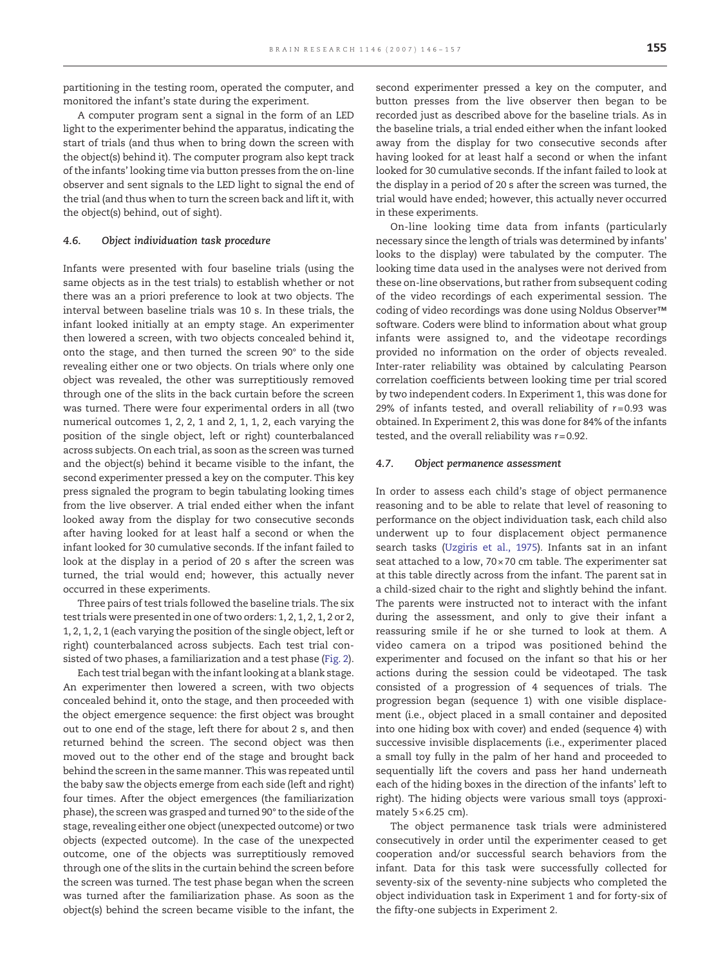partitioning in the testing room, operated the computer, and monitored the infant's state during the experiment.

A computer program sent a signal in the form of an LED light to the experimenter behind the apparatus, indicating the start of trials (and thus when to bring down the screen with the object(s) behind it). The computer program also kept track of the infants' looking time via button presses from the on-line observer and sent signals to the LED light to signal the end of the trial (and thus when to turn the screen back and lift it, with the object(s) behind, out of sight).

### 4.6. Object individuation task procedure

Infants were presented with four baseline trials (using the same objects as in the test trials) to establish whether or not there was an a priori preference to look at two objects. The interval between baseline trials was 10 s. In these trials, the infant looked initially at an empty stage. An experimenter then lowered a screen, with two objects concealed behind it, onto the stage, and then turned the screen 90° to the side revealing either one or two objects. On trials where only one object was revealed, the other was surreptitiously removed through one of the slits in the back curtain before the screen was turned. There were four experimental orders in all (two numerical outcomes 1, 2, 2, 1 and 2, 1, 1, 2, each varying the position of the single object, left or right) counterbalanced across subjects. On each trial, as soon as the screen was turned and the object(s) behind it became visible to the infant, the second experimenter pressed a key on the computer. This key press signaled the program to begin tabulating looking times from the live observer. A trial ended either when the infant looked away from the display for two consecutive seconds after having looked for at least half a second or when the infant looked for 30 cumulative seconds. If the infant failed to look at the display in a period of 20 s after the screen was turned, the trial would end; however, this actually never occurred in these experiments.

Three pairs of test trials followed the baseline trials. The six test trials were presented in one of two orders: 1, 2, 1, 2, 1, 2 or 2, 1, 2, 1, 2, 1 (each varying the position of the single object, left or right) counterbalanced across subjects. Each test trial consisted of two phases, a familiarization and a test phase ([Fig. 2](#page-6-0)).

Each test trial began with the infant looking at a blank stage. An experimenter then lowered a screen, with two objects concealed behind it, onto the stage, and then proceeded with the object emergence sequence: the first object was brought out to one end of the stage, left there for about 2 s, and then returned behind the screen. The second object was then moved out to the other end of the stage and brought back behind the screen in the same manner. This was repeated until the baby saw the objects emerge from each side (left and right) four times. After the object emergences (the familiarization phase), the screen was grasped and turned 90° to the side of the stage, revealing either one object (unexpected outcome) or two objects (expected outcome). In the case of the unexpected outcome, one of the objects was surreptitiously removed through one of the slits in the curtain behind the screen before the screen was turned. The test phase began when the screen was turned after the familiarization phase. As soon as the object(s) behind the screen became visible to the infant, the

second experimenter pressed a key on the computer, and button presses from the live observer then began to be recorded just as described above for the baseline trials. As in the baseline trials, a trial ended either when the infant looked away from the display for two consecutive seconds after having looked for at least half a second or when the infant looked for 30 cumulative seconds. If the infant failed to look at the display in a period of 20 s after the screen was turned, the trial would have ended; however, this actually never occurred in these experiments.

On-line looking time data from infants (particularly necessary since the length of trials was determined by infants' looks to the display) were tabulated by the computer. The looking time data used in the analyses were not derived from these on-line observations, but rather from subsequent coding of the video recordings of each experimental session. The coding of video recordings was done using Noldus Observer™ software. Coders were blind to information about what group infants were assigned to, and the videotape recordings provided no information on the order of objects revealed. Inter-rater reliability was obtained by calculating Pearson correlation coefficients between looking time per trial scored by two independent coders. In Experiment 1, this was done for 29% of infants tested, and overall reliability of  $r = 0.93$  was obtained. In Experiment 2, this was done for 84% of the infants tested, and the overall reliability was  $r = 0.92$ .

#### 4.7. Object permanence assessment

In order to assess each child's stage of object permanence reasoning and to be able to relate that level of reasoning to performance on the object individuation task, each child also underwent up to four displacement object permanence search tasks ([Uzgiris et al., 1975\)](#page-10-0). Infants sat in an infant seat attached to a low, 70× 70 cm table. The experimenter sat at this table directly across from the infant. The parent sat in a child-sized chair to the right and slightly behind the infant. The parents were instructed not to interact with the infant during the assessment, and only to give their infant a reassuring smile if he or she turned to look at them. A video camera on a tripod was positioned behind the experimenter and focused on the infant so that his or her actions during the session could be videotaped. The task consisted of a progression of 4 sequences of trials. The progression began (sequence 1) with one visible displacement (i.e., object placed in a small container and deposited into one hiding box with cover) and ended (sequence 4) with successive invisible displacements (i.e., experimenter placed a small toy fully in the palm of her hand and proceeded to sequentially lift the covers and pass her hand underneath each of the hiding boxes in the direction of the infants' left to right). The hiding objects were various small toys (approximately  $5 \times 6.25$  cm).

The object permanence task trials were administered consecutively in order until the experimenter ceased to get cooperation and/or successful search behaviors from the infant. Data for this task were successfully collected for seventy-six of the seventy-nine subjects who completed the object individuation task in Experiment 1 and for forty-six of the fifty-one subjects in Experiment 2.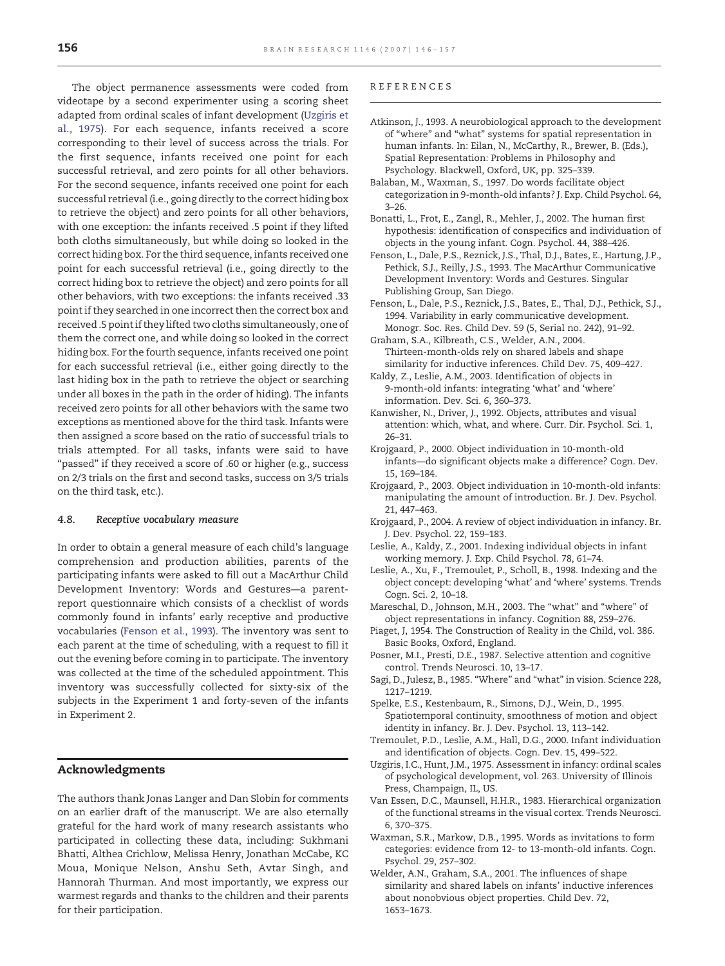<span id="page-10-0"></span>The object permanence assessments were coded from videotape by a second experimenter using a scoring sheet adapted from ordinal scales of infant development (Uzgiris et al., 1975). For each sequence, infants received a score corresponding to their level of success across the trials. For the first sequence, infants received one point for each successful retrieval, and zero points for all other behaviors. For the second sequence, infants received one point for each successful retrieval (i.e., going directly to the correct hiding box to retrieve the object) and zero points for all other behaviors, with one exception: the infants received .5 point if they lifted both cloths simultaneously, but while doing so looked in the correct hiding box. For the third sequence, infants received one point for each successful retrieval (i.e., going directly to the correct hiding box to retrieve the object) and zero points for all other behaviors, with two exceptions: the infants received .33 point if they searched in one incorrect then the correct box and received .5 point if they lifted two cloths simultaneously, one of them the correct one, and while doing so looked in the correct hiding box. For the fourth sequence, infants received one point for each successful retrieval (i.e., either going directly to the last hiding box in the path to retrieve the object or searching under all boxes in the path in the order of hiding). The infants received zero points for all other behaviors with the same two exceptions as mentioned above for the third task. Infants were then assigned a score based on the ratio of successful trials to trials attempted. For all tasks, infants were said to have "passed" if they received a score of .60 or higher (e.g., success on 2/3 trials on the first and second tasks, success on 3/5 trials on the third task, etc.).

# 4.8. Receptive vocabulary measure

In order to obtain a general measure of each child's language comprehension and production abilities, parents of the participating infants were asked to fill out a MacArthur Child Development Inventory: Words and Gestures—a parentreport questionnaire which consists of a checklist of words commonly found in infants' early receptive and productive vocabularies (Fenson et al., 1993). The inventory was sent to each parent at the time of scheduling, with a request to fill it out the evening before coming in to participate. The inventory was collected at the time of the scheduled appointment. This inventory was successfully collected for sixty-six of the subjects in the Experiment 1 and forty-seven of the infants in Experiment 2.

# Acknowledgments

The authors thank Jonas Langer and Dan Slobin for comments on an earlier draft of the manuscript. We are also eternally grateful for the hard work of many research assistants who participated in collecting these data, including: Sukhmani Bhatti, Althea Crichlow, Melissa Henry, Jonathan McCabe, KC Moua, Monique Nelson, Anshu Seth, Avtar Singh, and Hannorah Thurman. And most importantly, we express our warmest regards and thanks to the children and their parents for their participation.

#### REFERENCES

- Atkinson, J., 1993. A neurobiological approach to the development of "where" and "what" systems for spatial representation in human infants. In: Eilan, N., McCarthy, R., Brewer, B. (Eds.), Spatial Representation: Problems in Philosophy and Psychology. Blackwell, Oxford, UK, pp. 325–339.
- Balaban, M., Waxman, S., 1997. Do words facilitate object categorization in 9-month-old infants? J. Exp. Child Psychol. 64, 3–26.
- Bonatti, L., Frot, E., Zangl, R., Mehler, J., 2002. The human first hypothesis: identification of conspecifics and individuation of objects in the young infant. Cogn. Psychol. 44, 388–426.
- Fenson, L., Dale, P.S., Reznick, J.S., Thal, D.J., Bates, E., Hartung, J.P., Pethick, S.J., Reilly, J.S., 1993. The MacArthur Communicative Development Inventory: Words and Gestures. Singular Publishing Group, San Diego.
- Fenson, L., Dale, P.S., Reznick, J.S., Bates, E., Thal, D.J., Pethick, S.J., 1994. Variability in early communicative development. Monogr. Soc. Res. Child Dev. 59 (5, Serial no. 242), 91–92.
- Graham, S.A., Kilbreath, C.S., Welder, A.N., 2004. Thirteen-month-olds rely on shared labels and shape similarity for inductive inferences. Child Dev. 75, 409–427.
- Kaldy, Z., Leslie, A.M., 2003. Identification of objects in 9-month-old infants: integrating 'what' and 'where' information. Dev. Sci. 6, 360–373.
- Kanwisher, N., Driver, J., 1992. Objects, attributes and visual attention: which, what, and where. Curr. Dir. Psychol. Sci. 1, 26–31.
- Krojgaard, P., 2000. Object individuation in 10-month-old infants—do significant objects make a difference? Cogn. Dev. 15, 169–184.
- Krojgaard, P., 2003. Object individuation in 10-month-old infants: manipulating the amount of introduction. Br. J. Dev. Psychol. 21, 447–463.
- Krojgaard, P., 2004. A review of object individuation in infancy. Br. J. Dev. Psychol. 22, 159–183.
- Leslie, A., Kaldy, Z., 2001. Indexing individual objects in infant working memory. J. Exp. Child Psychol. 78, 61–74.
- Leslie, A., Xu, F., Tremoulet, P., Scholl, B., 1998. Indexing and the object concept: developing 'what' and 'where' systems. Trends Cogn. Sci. 2, 10–18.
- Mareschal, D., Johnson, M.H., 2003. The "what" and "where" of object representations in infancy. Cognition 88, 259–276.
- Piaget, J, 1954. The Construction of Reality in the Child, vol. 386. Basic Books, Oxford, England.
- Posner, M.I., Presti, D.E., 1987. Selective attention and cognitive control. Trends Neurosci. 10, 13–17.
- Sagi, D., Julesz, B., 1985. "Where" and "what" in vision. Science 228, 1217–1219.
- Spelke, E.S., Kestenbaum, R., Simons, D.J., Wein, D., 1995. Spatiotemporal continuity, smoothness of motion and object identity in infancy. Br. J. Dev. Psychol. 13, 113–142.
- Tremoulet, P.D., Leslie, A.M., Hall, D.G., 2000. Infant individuation and identification of objects. Cogn. Dev. 15, 499–522.
- Uzgiris, I.C., Hunt, J.M., 1975. Assessment in infancy: ordinal scales of psychological development, vol. 263. University of Illinois Press, Champaign, IL, US.
- Van Essen, D.C., Maunsell, H.H.R., 1983. Hierarchical organization of the functional streams in the visual cortex. Trends Neurosci. 6, 370–375.
- Waxman, S.R., Markow, D.B., 1995. Words as invitations to form categories: evidence from 12- to 13-month-old infants. Cogn. Psychol. 29, 257–302.
- Welder, A.N., Graham, S.A., 2001. The influences of shape similarity and shared labels on infants' inductive inferences about nonobvious object properties. Child Dev. 72, 1653–1673.